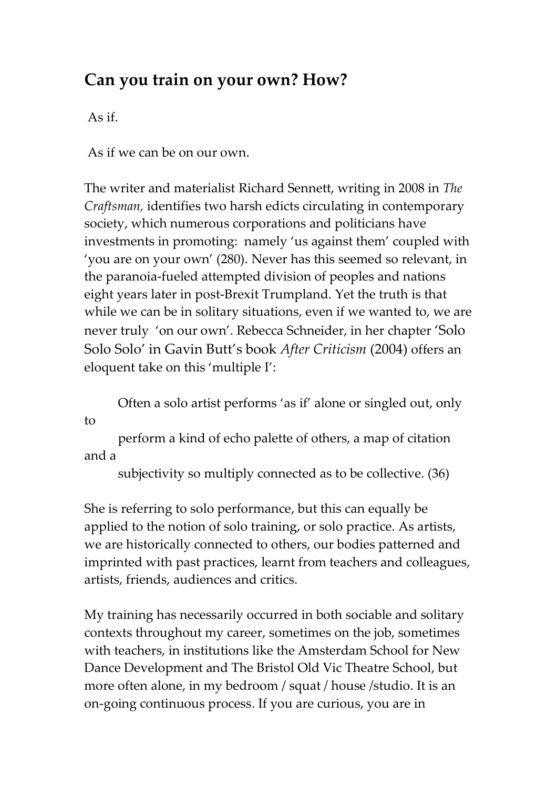## **Can you train on your own? How?**

As if.

As if we can be on our own.

The writer and materialist Richard Sennett, writing in 2008 in *The Craftsman,* identifies two harsh edicts circulating in contemporary society, which numerous corporations and politicians have investments in promoting: namely 'us against them' coupled with 'you are on your own' (280). Never has this seemed so relevant, in the paranoia-fueled attempted division of peoples and nations eight years later in post-Brexit Trumpland. Yet the truth is that while we can be in solitary situations, even if we wanted to, we are never truly 'on our own'. Rebecca Schneider, in her chapter 'Solo Solo Solo' in Gavin Butt's book *After Criticism* (2004) offers an eloquent take on this 'multiple I':

Often a solo artist performs 'as if' alone or singled out, only to

perform a kind of echo palette of others, a map of citation and a

subjectivity so multiply connected as to be collective. (36)

She is referring to solo performance, but this can equally be applied to the notion of solo training, or solo practice. As artists, we are historically connected to others, our bodies patterned and imprinted with past practices, learnt from teachers and colleagues, artists, friends, audiences and critics.

My training has necessarily occurred in both sociable and solitary contexts throughout my career, sometimes on the job, sometimes with teachers, in institutions like the Amsterdam School for New Dance Development and The Bristol Old Vic Theatre School, but more often alone, in my bedroom / squat / house /studio. It is an on-going continuous process. If you are curious, you are in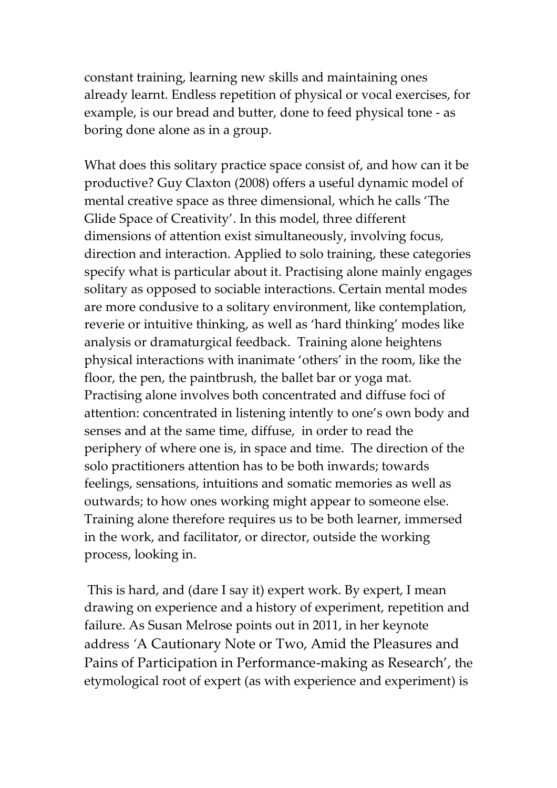constant training, learning new skills and maintaining ones already learnt. Endless repetition of physical or vocal exercises, for example, is our bread and butter, done to feed physical tone - as boring done alone as in a group.

What does this solitary practice space consist of, and how can it be productive? Guy Claxton (2008) offers a useful dynamic model of mental creative space as three dimensional, which he calls 'The Glide Space of Creativity'. In this model, three different dimensions of attention exist simultaneously, involving focus, direction and interaction. Applied to solo training, these categories specify what is particular about it. Practising alone mainly engages solitary as opposed to sociable interactions. Certain mental modes are more condusive to a solitary environment, like contemplation, reverie or intuitive thinking, as well as 'hard thinking' modes like analysis or dramaturgical feedback. Training alone heightens physical interactions with inanimate 'others' in the room, like the floor, the pen, the paintbrush, the ballet bar or yoga mat. Practising alone involves both concentrated and diffuse foci of attention: concentrated in listening intently to one's own body and senses and at the same time, diffuse, in order to read the periphery of where one is, in space and time. The direction of the solo practitioners attention has to be both inwards; towards feelings, sensations, intuitions and somatic memories as well as outwards; to how ones working might appear to someone else. Training alone therefore requires us to be both learner, immersed in the work, and facilitator, or director, outside the working process, looking in.

This is hard, and (dare I say it) expert work. By expert, I mean drawing on experience and a history of experiment, repetition and failure. As Susan Melrose points out in 2011, in her keynote address *'*A Cautionary Note or Two, Amid the Pleasures and Pains of Participation in Performance-making as Research', the etymological root of expert (as with experience and experiment) is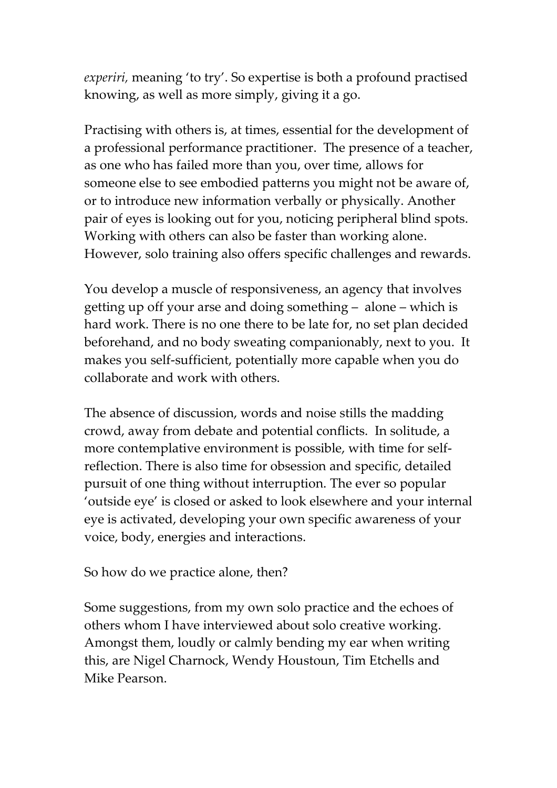*experiri,* meaning 'to try'. So expertise is both a profound practised knowing, as well as more simply, giving it a go.

Practising with others is, at times, essential for the development of a professional performance practitioner. The presence of a teacher, as one who has failed more than you, over time, allows for someone else to see embodied patterns you might not be aware of, or to introduce new information verbally or physically. Another pair of eyes is looking out for you, noticing peripheral blind spots. Working with others can also be faster than working alone. However, solo training also offers specific challenges and rewards.

You develop a muscle of responsiveness, an agency that involves getting up off your arse and doing something – alone – which is hard work. There is no one there to be late for, no set plan decided beforehand, and no body sweating companionably, next to you. It makes you self-sufficient, potentially more capable when you do collaborate and work with others.

The absence of discussion, words and noise stills the madding crowd, away from debate and potential conflicts. In solitude, a more contemplative environment is possible, with time for selfreflection. There is also time for obsession and specific, detailed pursuit of one thing without interruption. The ever so popular 'outside eye' is closed or asked to look elsewhere and your internal eye is activated, developing your own specific awareness of your voice, body, energies and interactions.

So how do we practice alone, then?

Some suggestions, from my own solo practice and the echoes of others whom I have interviewed about solo creative working. Amongst them, loudly or calmly bending my ear when writing this, are Nigel Charnock, Wendy Houstoun, Tim Etchells and Mike Pearson.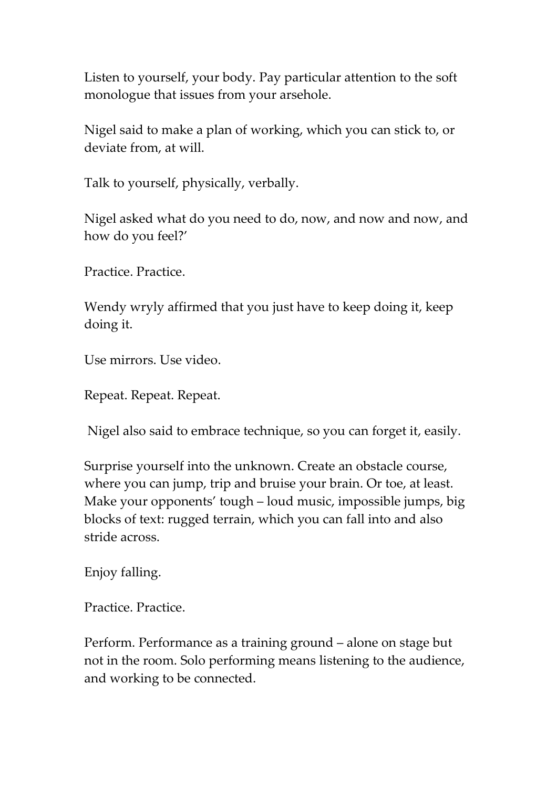Listen to yourself, your body. Pay particular attention to the soft monologue that issues from your arsehole.

Nigel said to make a plan of working, which you can stick to, or deviate from, at will.

Talk to yourself, physically, verbally.

Nigel asked what do you need to do, now, and now and now, and how do you feel?'

Practice. Practice.

Wendy wryly affirmed that you just have to keep doing it, keep doing it.

Use mirrors. Use video.

Repeat. Repeat. Repeat.

Nigel also said to embrace technique, so you can forget it, easily.

Surprise yourself into the unknown. Create an obstacle course, where you can jump, trip and bruise your brain. Or toe, at least. Make your opponents' tough – loud music, impossible jumps, big blocks of text: rugged terrain, which you can fall into and also stride across.

Enjoy falling.

Practice. Practice.

Perform. Performance as a training ground – alone on stage but not in the room. Solo performing means listening to the audience, and working to be connected.